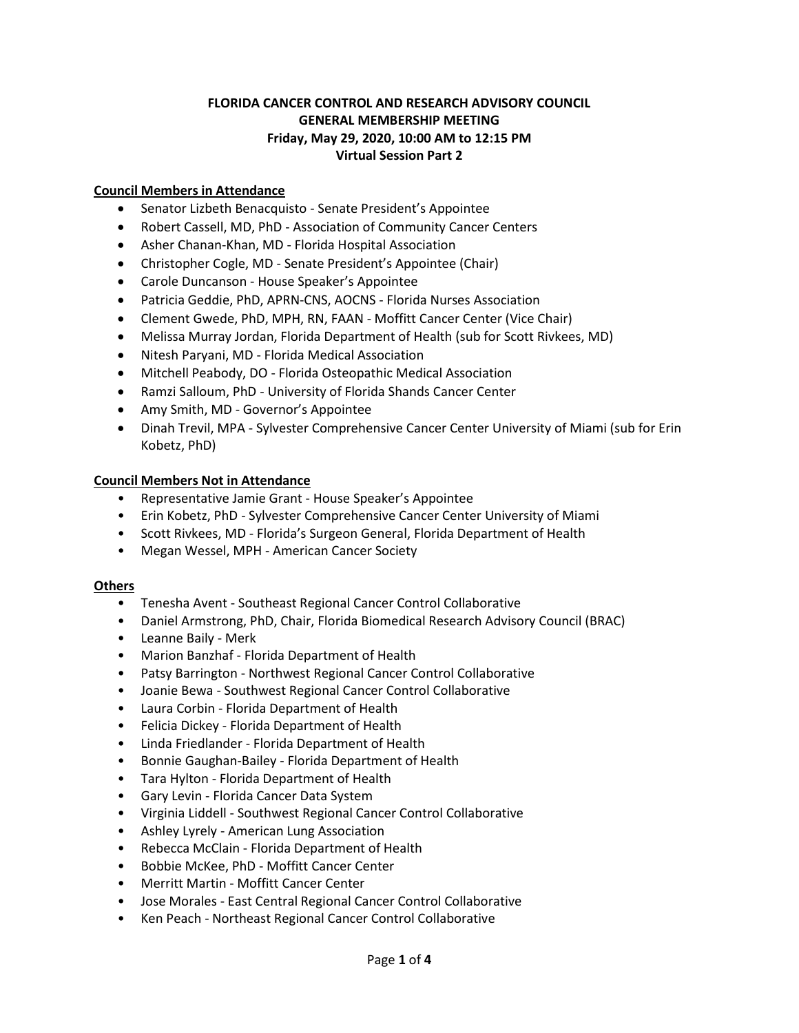# **FLORIDA CANCER CONTROL AND RESEARCH ADVISORY COUNCIL GENERAL MEMBERSHIP MEETING Friday, May 29, 2020, 10:00 AM to 12:15 PM Virtual Session Part 2**

# **Council Members in Attendance**

- Senator Lizbeth Benacquisto Senate President's Appointee
- Robert Cassell, MD, PhD Association of Community Cancer Centers
- Asher Chanan-Khan, MD Florida Hospital Association
- Christopher Cogle, MD Senate President's Appointee (Chair)
- Carole Duncanson House Speaker's Appointee
- Patricia Geddie, PhD, APRN-CNS, AOCNS Florida Nurses Association
- Clement Gwede, PhD, MPH, RN, FAAN Moffitt Cancer Center (Vice Chair)
- Melissa Murray Jordan, Florida Department of Health (sub for Scott Rivkees, MD)
- Nitesh Paryani, MD Florida Medical Association
- Mitchell Peabody, DO Florida Osteopathic Medical Association
- Ramzi Salloum, PhD University of Florida Shands Cancer Center
- Amy Smith, MD Governor's Appointee
- Dinah Trevil, MPA Sylvester Comprehensive Cancer Center University of Miami (sub for Erin Kobetz, PhD)

#### **Council Members Not in Attendance**

- Representative Jamie Grant House Speaker's Appointee
- Erin Kobetz, PhD Sylvester Comprehensive Cancer Center University of Miami
- Scott Rivkees, MD Florida's Surgeon General, Florida Department of Health
- Megan Wessel, MPH American Cancer Society

#### **Others**

- Tenesha Avent Southeast Regional Cancer Control Collaborative
- Daniel Armstrong, PhD, Chair, Florida Biomedical Research Advisory Council (BRAC)
- Leanne Baily Merk
- Marion Banzhaf Florida Department of Health
- Patsy Barrington Northwest Regional Cancer Control Collaborative
- Joanie Bewa Southwest Regional Cancer Control Collaborative
- Laura Corbin Florida Department of Health
- Felicia Dickey Florida Department of Health
- Linda Friedlander Florida Department of Health
- Bonnie Gaughan-Bailey Florida Department of Health
- Tara Hylton Florida Department of Health
- Gary Levin Florida Cancer Data System
- Virginia Liddell Southwest Regional Cancer Control Collaborative
- Ashley Lyrely American Lung Association
- Rebecca McClain Florida Department of Health
- Bobbie McKee, PhD Moffitt Cancer Center
- Merritt Martin Moffitt Cancer Center
- Jose Morales East Central Regional Cancer Control Collaborative
- Ken Peach Northeast Regional Cancer Control Collaborative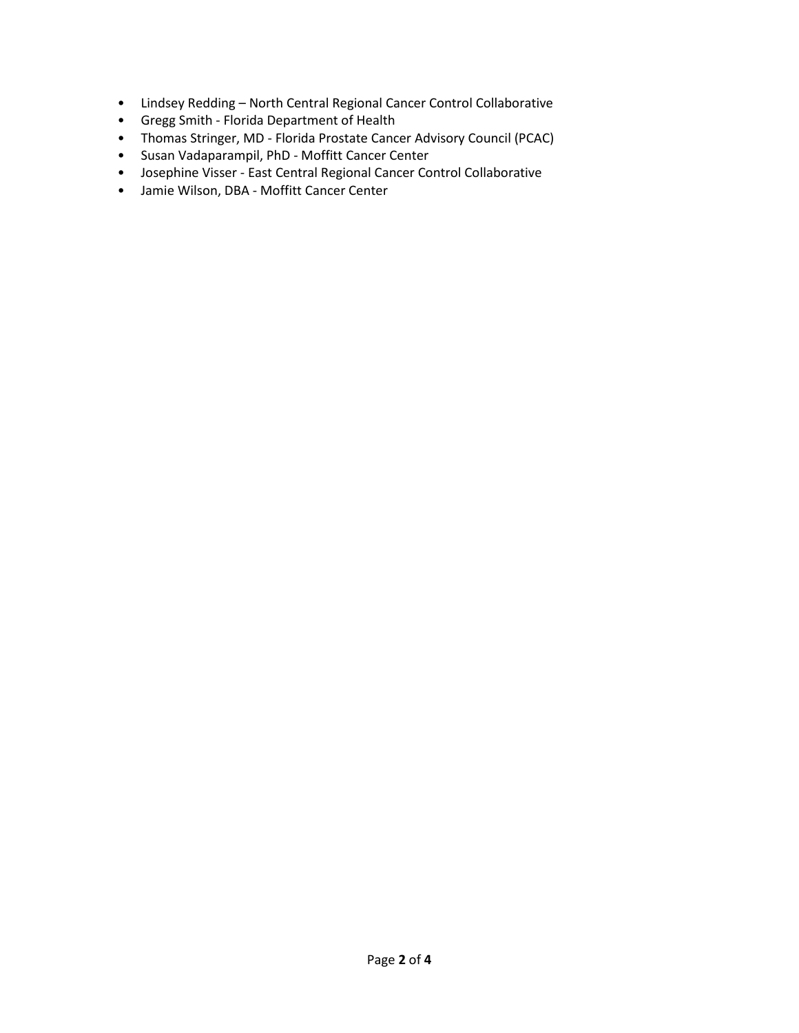- Lindsey Redding North Central Regional Cancer Control Collaborative
- Gregg Smith Florida Department of Health
- Thomas Stringer, MD Florida Prostate Cancer Advisory Council (PCAC)
- Susan Vadaparampil, PhD Moffitt Cancer Center
- Josephine Visser East Central Regional Cancer Control Collaborative
- Jamie Wilson, DBA Moffitt Cancer Center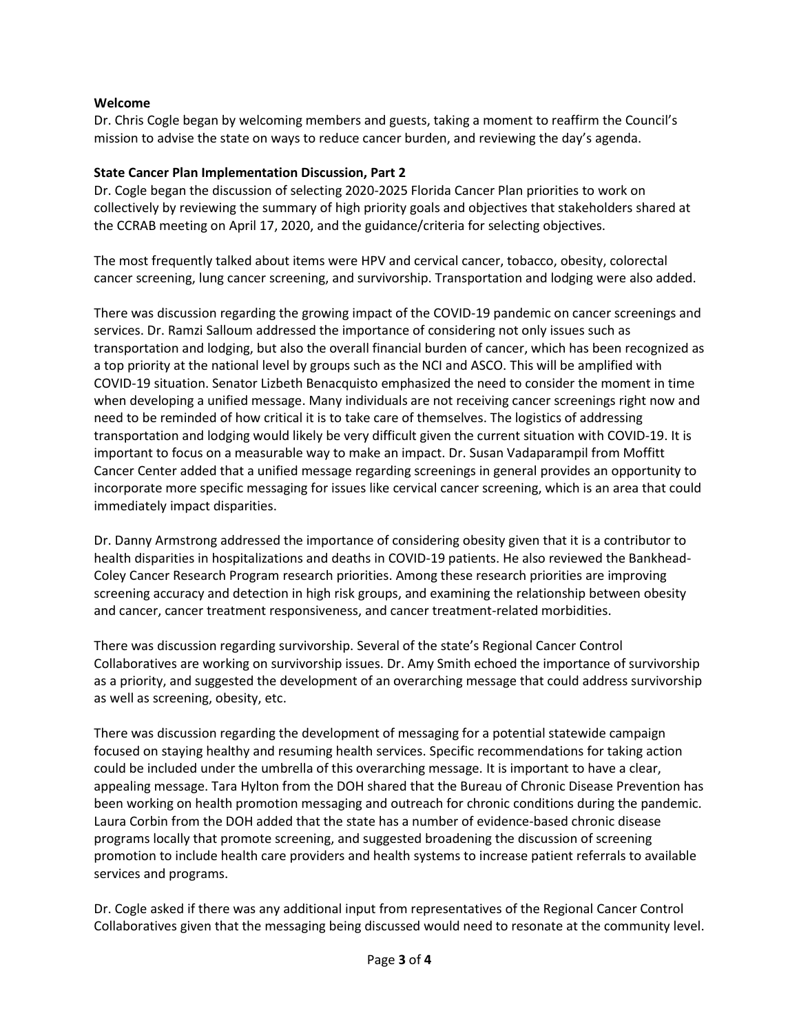### **Welcome**

Dr. Chris Cogle began by welcoming members and guests, taking a moment to reaffirm the Council's mission to advise the state on ways to reduce cancer burden, and reviewing the day's agenda.

### **State Cancer Plan Implementation Discussion, Part 2**

Dr. Cogle began the discussion of selecting 2020-2025 Florida Cancer Plan priorities to work on collectively by reviewing the summary of high priority goals and objectives that stakeholders shared at the CCRAB meeting on April 17, 2020, and the guidance/criteria for selecting objectives.

The most frequently talked about items were HPV and cervical cancer, tobacco, obesity, colorectal cancer screening, lung cancer screening, and survivorship. Transportation and lodging were also added.

There was discussion regarding the growing impact of the COVID-19 pandemic on cancer screenings and services. Dr. Ramzi Salloum addressed the importance of considering not only issues such as transportation and lodging, but also the overall financial burden of cancer, which has been recognized as a top priority at the national level by groups such as the NCI and ASCO. This will be amplified with COVID-19 situation. Senator Lizbeth Benacquisto emphasized the need to consider the moment in time when developing a unified message. Many individuals are not receiving cancer screenings right now and need to be reminded of how critical it is to take care of themselves. The logistics of addressing transportation and lodging would likely be very difficult given the current situation with COVID-19. It is important to focus on a measurable way to make an impact. Dr. Susan Vadaparampil from Moffitt Cancer Center added that a unified message regarding screenings in general provides an opportunity to incorporate more specific messaging for issues like cervical cancer screening, which is an area that could immediately impact disparities.

Dr. Danny Armstrong addressed the importance of considering obesity given that it is a contributor to health disparities in hospitalizations and deaths in COVID-19 patients. He also reviewed the Bankhead-Coley Cancer Research Program research priorities. Among these research priorities are improving screening accuracy and detection in high risk groups, and examining the relationship between obesity and cancer, cancer treatment responsiveness, and cancer treatment-related morbidities.

There was discussion regarding survivorship. Several of the state's Regional Cancer Control Collaboratives are working on survivorship issues. Dr. Amy Smith echoed the importance of survivorship as a priority, and suggested the development of an overarching message that could address survivorship as well as screening, obesity, etc.

There was discussion regarding the development of messaging for a potential statewide campaign focused on staying healthy and resuming health services. Specific recommendations for taking action could be included under the umbrella of this overarching message. It is important to have a clear, appealing message. Tara Hylton from the DOH shared that the Bureau of Chronic Disease Prevention has been working on health promotion messaging and outreach for chronic conditions during the pandemic. Laura Corbin from the DOH added that the state has a number of evidence-based chronic disease programs locally that promote screening, and suggested broadening the discussion of screening promotion to include health care providers and health systems to increase patient referrals to available services and programs.

Dr. Cogle asked if there was any additional input from representatives of the Regional Cancer Control Collaboratives given that the messaging being discussed would need to resonate at the community level.